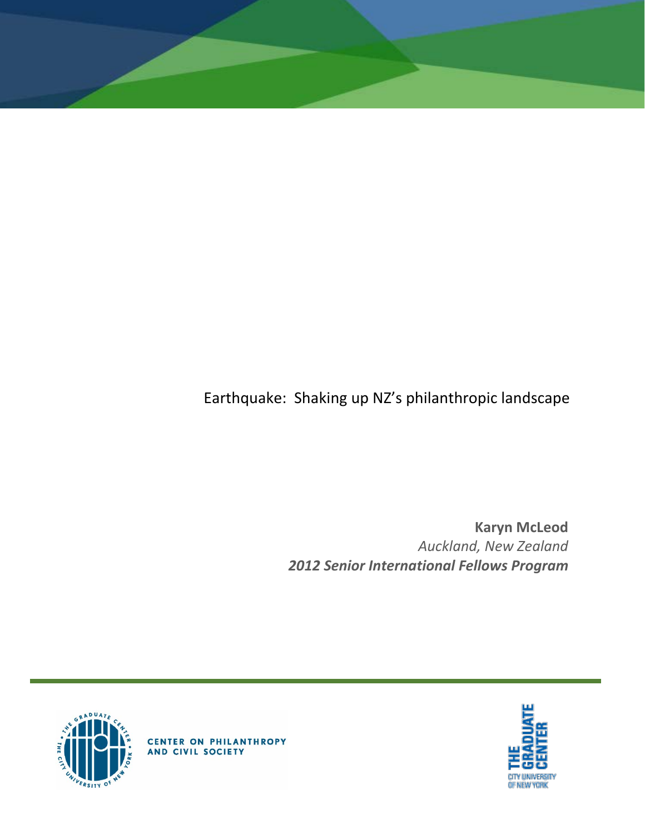

**Karyn McLeod** *Auckland, New Zealand 2012 Senior International Fellows Program*





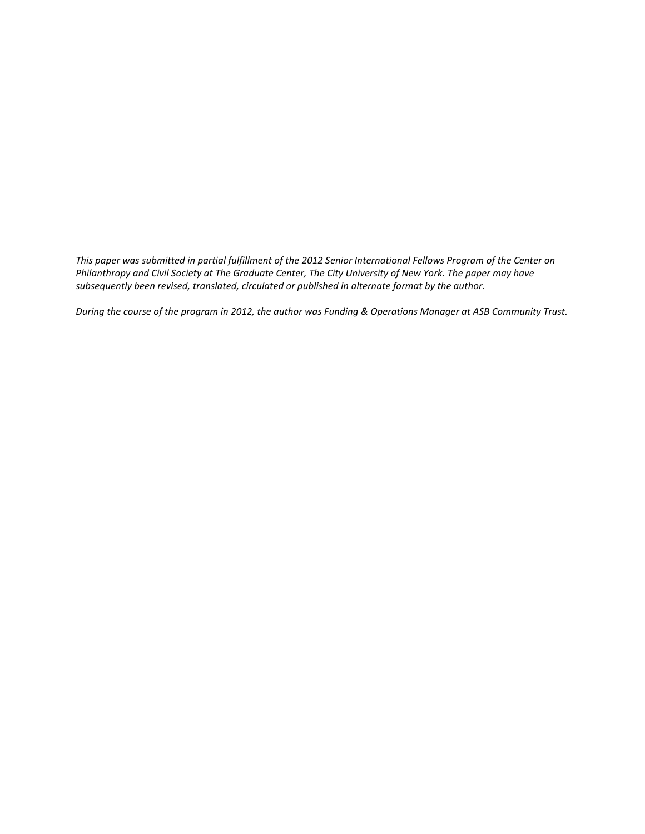*This paper was submitted in partial fulfillment of the 2012 Senior International Fellows Program of the Center on Philanthropy and Civil Society at The Graduate Center, The City University of New York. The paper may have subsequently been revised, translated, circulated or published in alternate format by the author.*

*During the course of the program in 2012, the author was Funding & Operations Manager at ASB Community Trust.*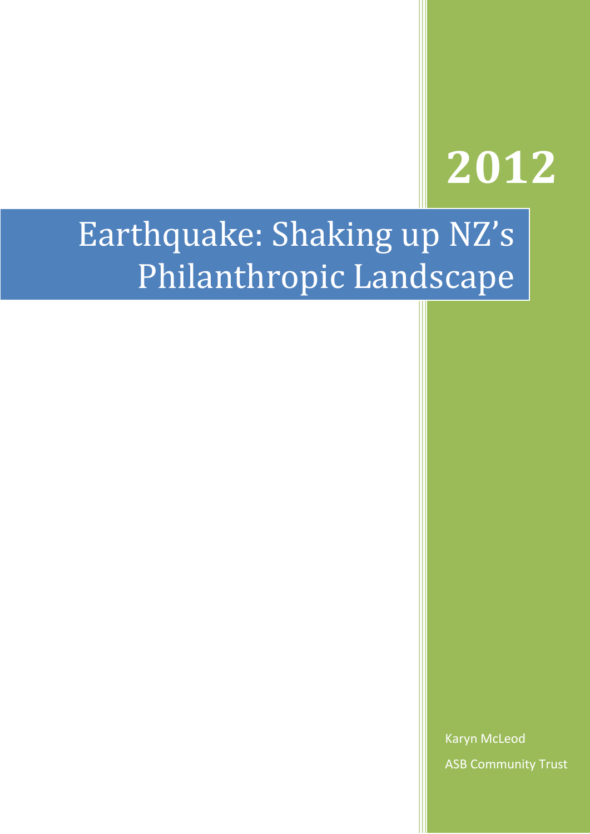# **2012**

## Earthquake: Shaking up NZ's Philanthropic Landscape

Karyn McLeod ASB Community Trust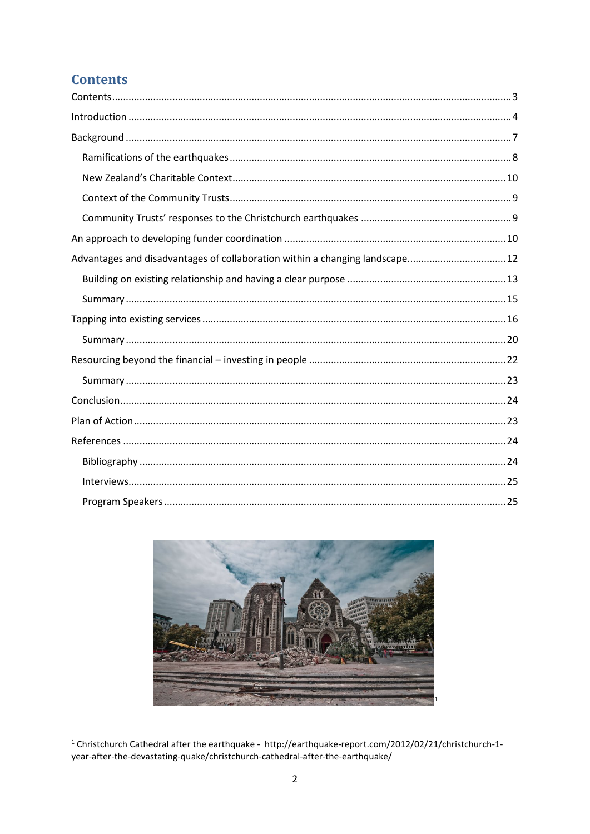## <span id="page-3-0"></span>**Contents**

| Advantages and disadvantages of collaboration within a changing landscape 12 |  |
|------------------------------------------------------------------------------|--|
|                                                                              |  |
|                                                                              |  |
|                                                                              |  |
|                                                                              |  |
|                                                                              |  |
|                                                                              |  |
|                                                                              |  |
|                                                                              |  |
|                                                                              |  |
|                                                                              |  |
|                                                                              |  |
|                                                                              |  |

<span id="page-3-1"></span>

<sup>&</sup>lt;sup>1</sup> Christchurch Cathedral after the earthquake - http://earthquake-report.com/2012/02/21/christchurch-1-<br>year-after-the-devastating-quake/christchurch-cathedral-after-the-earthquake/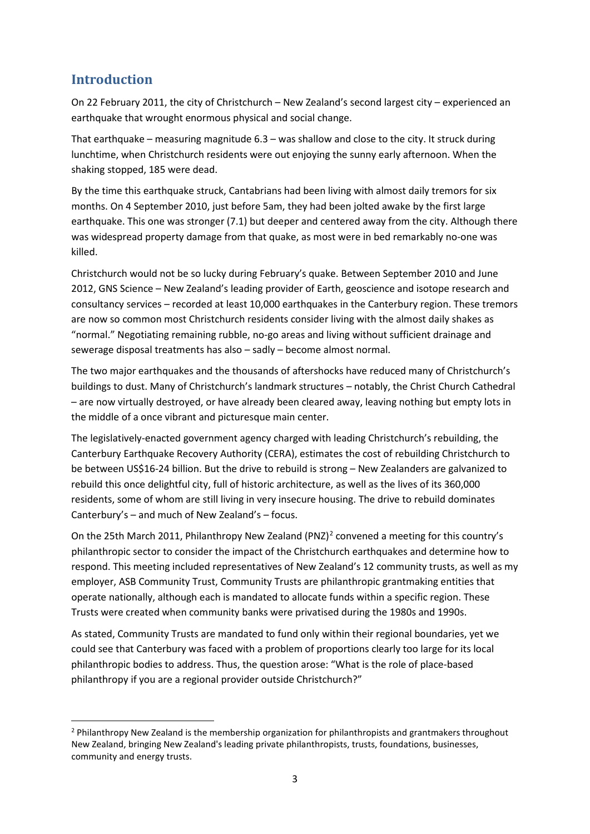## <span id="page-4-0"></span>**Introduction**

 $\overline{\phantom{a}}$ 

On 22 February 2011, the city of Christchurch – New Zealand's second largest city – experienced an earthquake that wrought enormous physical and social change.

That earthquake – measuring magnitude 6.3 – was shallow and close to the city. It struck during lunchtime, when Christchurch residents were out enjoying the sunny early afternoon. When the shaking stopped, 185 were dead.

By the time this earthquake struck, Cantabrians had been living with almost daily tremors for six months. On 4 September 2010, just before 5am, they had been jolted awake by the first large earthquake. This one was stronger (7.1) but deeper and centered away from the city. Although there was widespread property damage from that quake, as most were in bed remarkably no-one was killed.

Christchurch would not be so lucky during February's quake. Between September 2010 and June 2012, GNS Science – New Zealand's leading provider of Earth, geoscience and isotope research and consultancy services – recorded at least 10,000 earthquakes in the Canterbury region. These tremors are now so common most Christchurch residents consider living with the almost daily shakes as "normal." Negotiating remaining rubble, no-go areas and living without sufficient drainage and sewerage disposal treatments has also – sadly – become almost normal.

The two major earthquakes and the thousands of aftershocks have reduced many of Christchurch's buildings to dust. Many of Christchurch's landmark structures – notably, the Christ Church Cathedral – are now virtually destroyed, or have already been cleared away, leaving nothing but empty lots in the middle of a once vibrant and picturesque main center.

The legislatively-enacted government agency charged with leading Christchurch's rebuilding, the Canterbury Earthquake Recovery Authority (CERA), estimates the cost of rebuilding Christchurch to be between US\$16-24 billion. But the drive to rebuild is strong – New Zealanders are galvanized to rebuild this once delightful city, full of historic architecture, as well as the lives of its 360,000 residents, some of whom are still living in very insecure housing. The drive to rebuild dominates Canterbury's – and much of New Zealand's – focus.

On the [2](#page-4-1)5th March 2011, Philanthropy New Zealand (PNZ)<sup>2</sup> convened a meeting for this country's philanthropic sector to consider the impact of the Christchurch earthquakes and determine how to respond. This meeting included representatives of New Zealand's 12 community trusts, as well as my employer, ASB Community Trust, Community Trusts are philanthropic grantmaking entities that operate nationally, although each is mandated to allocate funds within a specific region. These Trusts were created when community banks were privatised during the 1980s and 1990s.

As stated, Community Trusts are mandated to fund only within their regional boundaries, yet we could see that Canterbury was faced with a problem of proportions clearly too large for its local philanthropic bodies to address. Thus, the question arose: "What is the role of place-based philanthropy if you are a regional provider outside Christchurch?"

<span id="page-4-1"></span><sup>&</sup>lt;sup>2</sup> Philanthropy New Zealand is the membership organization for philanthropists and grantmakers throughout New Zealand, bringing New Zealand's leading private philanthropists, trusts, foundations, businesses, community and energy trusts.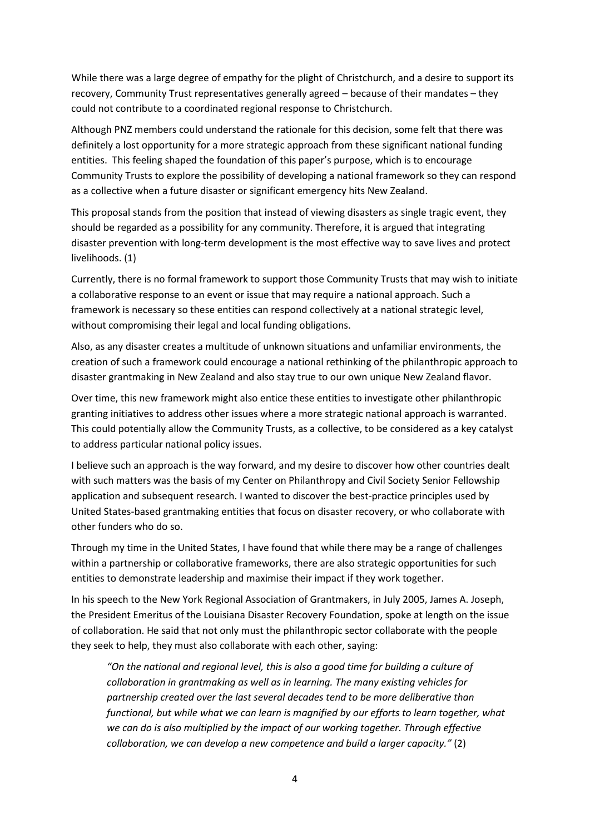While there was a large degree of empathy for the plight of Christchurch, and a desire to support its recovery, Community Trust representatives generally agreed – because of their mandates – they could not contribute to a coordinated regional response to Christchurch.

Although PNZ members could understand the rationale for this decision, some felt that there was definitely a lost opportunity for a more strategic approach from these significant national funding entities. This feeling shaped the foundation of this paper's purpose, which is to encourage Community Trusts to explore the possibility of developing a national framework so they can respond as a collective when a future disaster or significant emergency hits New Zealand.

This proposal stands from the position that instead of viewing disasters as single tragic event, they should be regarded as a possibility for any community. Therefore, it is argued that integrating disaster prevention with long-term development is the most effective way to save lives and protect livelihoods. (1)

Currently, there is no formal framework to support those Community Trusts that may wish to initiate a collaborative response to an event or issue that may require a national approach. Such a framework is necessary so these entities can respond collectively at a national strategic level, without compromising their legal and local funding obligations.

Also, as any disaster creates a multitude of unknown situations and unfamiliar environments, the creation of such a framework could encourage a national rethinking of the philanthropic approach to disaster grantmaking in New Zealand and also stay true to our own unique New Zealand flavor.

Over time, this new framework might also entice these entities to investigate other philanthropic granting initiatives to address other issues where a more strategic national approach is warranted. This could potentially allow the Community Trusts, as a collective, to be considered as a key catalyst to address particular national policy issues.

I believe such an approach is the way forward, and my desire to discover how other countries dealt with such matters was the basis of my Center on Philanthropy and Civil Society Senior Fellowship application and subsequent research. I wanted to discover the best-practice principles used by United States-based grantmaking entities that focus on disaster recovery, or who collaborate with other funders who do so.

Through my time in the United States, I have found that while there may be a range of challenges within a partnership or collaborative frameworks, there are also strategic opportunities for such entities to demonstrate leadership and maximise their impact if they work together.

In his speech to the New York Regional Association of Grantmakers, in July 2005, James A. Joseph, the President Emeritus of the Louisiana Disaster Recovery Foundation, spoke at length on the issue of collaboration. He said that not only must the philanthropic sector collaborate with the people they seek to help, they must also collaborate with each other, saying:

*"On the national and regional level, this is also a good time for building a culture of collaboration in grantmaking as well as in learning. The many existing vehicles for partnership created over the last several decades tend to be more deliberative than functional, but while what we can learn is magnified by our efforts to learn together, what we can do is also multiplied by the impact of our working together. Through effective collaboration, we can develop a new competence and build a larger capacity."* (2)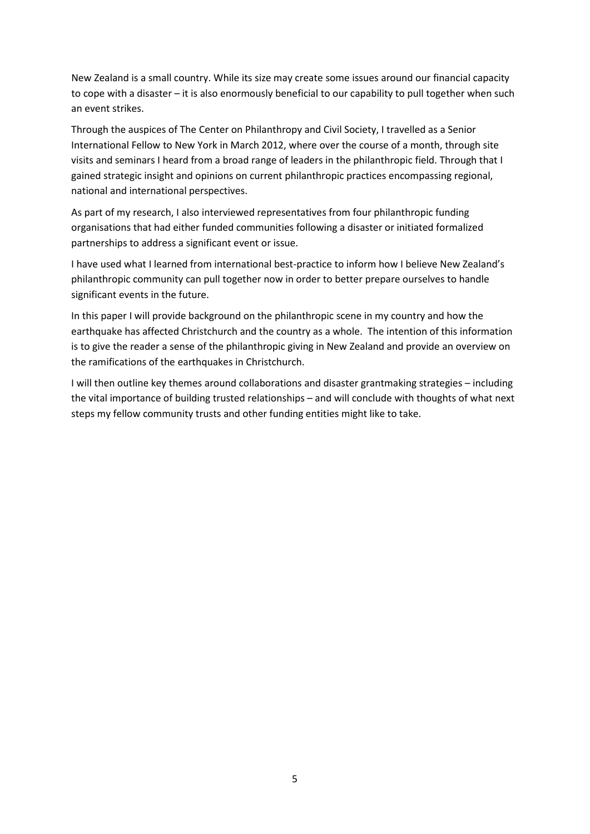New Zealand is a small country. While its size may create some issues around our financial capacity to cope with a disaster – it is also enormously beneficial to our capability to pull together when such an event strikes.

Through the auspices of The Center on Philanthropy and Civil Society, I travelled as a Senior International Fellow to New York in March 2012, where over the course of a month, through site visits and seminars I heard from a broad range of leaders in the philanthropic field. Through that I gained strategic insight and opinions on current philanthropic practices encompassing regional, national and international perspectives.

As part of my research, I also interviewed representatives from four philanthropic funding organisations that had either funded communities following a disaster or initiated formalized partnerships to address a significant event or issue.

I have used what I learned from international best-practice to inform how I believe New Zealand's philanthropic community can pull together now in order to better prepare ourselves to handle significant events in the future.

In this paper I will provide background on the philanthropic scene in my country and how the earthquake has affected Christchurch and the country as a whole. The intention of this information is to give the reader a sense of the philanthropic giving in New Zealand and provide an overview on the ramifications of the earthquakes in Christchurch.

I will then outline key themes around collaborations and disaster grantmaking strategies – including the vital importance of building trusted relationships – and will conclude with thoughts of what next steps my fellow community trusts and other funding entities might like to take.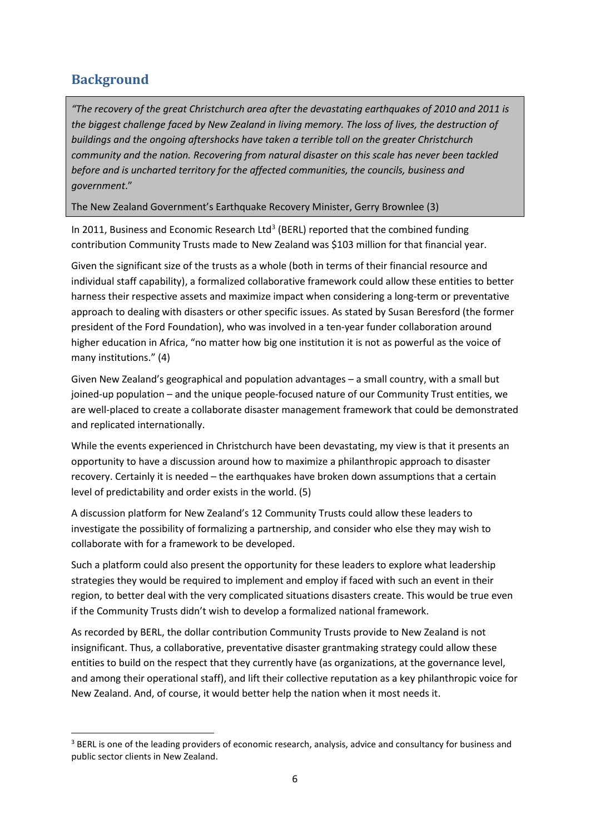## <span id="page-7-0"></span>**Background**

 $\overline{\phantom{a}}$ 

*"The recovery of the great Christchurch area after the devastating earthquakes of 2010 and 2011 is the biggest challenge faced by New Zealand in living memory. The loss of lives, the destruction of buildings and the ongoing aftershocks have taken a terrible toll on the greater Christchurch community and the nation. Recovering from natural disaster on this scale has never been tackled before and is uncharted territory for the affected communities, the councils, business and government*."

The New Zealand Government's Earthquake Recovery Minister, Gerry Brownlee (3)

In 2011, Business and Economic Research Ltd<sup>[3](#page-7-1)</sup> (BERL) reported that the combined funding contribution Community Trusts made to New Zealand was \$103 million for that financial year.

Given the significant size of the trusts as a whole (both in terms of their financial resource and individual staff capability), a formalized collaborative framework could allow these entities to better harness their respective assets and maximize impact when considering a long-term or preventative approach to dealing with disasters or other specific issues. As stated by Susan Beresford (the former president of the Ford Foundation), who was involved in a ten-year funder collaboration around higher education in Africa, "no matter how big one institution it is not as powerful as the voice of many institutions." (4)

Given New Zealand's geographical and population advantages – a small country, with a small but joined-up population – and the unique people-focused nature of our Community Trust entities, we are well-placed to create a collaborate disaster management framework that could be demonstrated and replicated internationally.

While the events experienced in Christchurch have been devastating, my view is that it presents an opportunity to have a discussion around how to maximize a philanthropic approach to disaster recovery. Certainly it is needed – the earthquakes have broken down assumptions that a certain level of predictability and order exists in the world. (5)

A discussion platform for New Zealand's 12 Community Trusts could allow these leaders to investigate the possibility of formalizing a partnership, and consider who else they may wish to collaborate with for a framework to be developed.

Such a platform could also present the opportunity for these leaders to explore what leadership strategies they would be required to implement and employ if faced with such an event in their region, to better deal with the very complicated situations disasters create. This would be true even if the Community Trusts didn't wish to develop a formalized national framework.

As recorded by BERL, the dollar contribution Community Trusts provide to New Zealand is not insignificant. Thus, a collaborative, preventative disaster grantmaking strategy could allow these entities to build on the respect that they currently have (as organizations, at the governance level, and among their operational staff), and lift their collective reputation as a key philanthropic voice for New Zealand. And, of course, it would better help the nation when it most needs it.

<span id="page-7-1"></span><sup>&</sup>lt;sup>3</sup> BERL is one of the leading providers of economic research, analysis, advice and consultancy for business and public sector clients in New Zealand.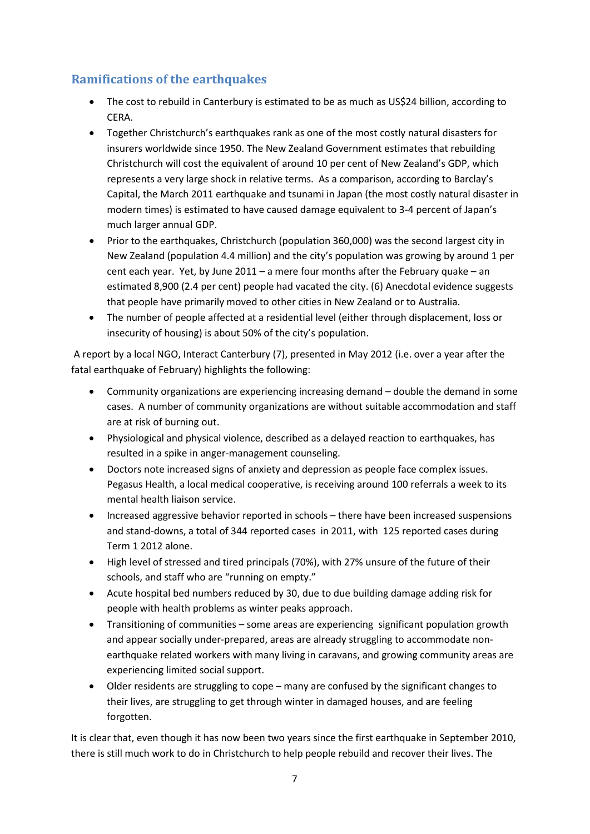### <span id="page-8-0"></span>**Ramifications of the earthquakes**

- The cost to rebuild in Canterbury is estimated to be as much as US\$24 billion, according to CERA.
- Together Christchurch's earthquakes rank as one of the most costly natural disasters for insurers worldwide since 1950. The New Zealand Government estimates that rebuilding Christchurch will cost the equivalent of around 10 per cent of New Zealand's GDP, which represents a very large shock in relative terms. As a comparison, according to Barclay's Capital, the March 2011 earthquake and tsunami in Japan (the most costly natural disaster in modern times) is estimated to have caused damage equivalent to 3-4 percent of Japan's much larger annual GDP.
- Prior to the earthquakes, Christchurch (population 360,000) was the second largest city in New Zealand (population 4.4 million) and the city's population was growing by around 1 per cent each year. Yet, by June 2011 – a mere four months after the February quake – an estimated 8,900 (2.4 per cent) people had vacated the city. (6) Anecdotal evidence suggests that people have primarily moved to other cities in New Zealand or to Australia.
- The number of people affected at a residential level (either through displacement, loss or insecurity of housing) is about 50% of the city's population.

A report by a local NGO, Interact Canterbury (7), presented in May 2012 (i.e. over a year after the fatal earthquake of February) highlights the following:

- Community organizations are experiencing increasing demand double the demand in some cases. A number of community organizations are without suitable accommodation and staff are at risk of burning out.
- Physiological and physical violence, described as a delayed reaction to earthquakes, has resulted in a spike in anger-management counseling.
- Doctors note increased signs of anxiety and depression as people face complex issues. Pegasus Health, a local medical cooperative, is receiving around 100 referrals a week to its mental health liaison service.
- Increased aggressive behavior reported in schools there have been increased suspensions and stand-downs, a total of 344 reported cases in 2011, with 125 reported cases during Term 1 2012 alone.
- High level of stressed and tired principals (70%), with 27% unsure of the future of their schools, and staff who are "running on empty."
- Acute hospital bed numbers reduced by 30, due to due building damage adding risk for people with health problems as winter peaks approach.
- Transitioning of communities some areas are experiencing significant population growth and appear socially under-prepared, areas are already struggling to accommodate nonearthquake related workers with many living in caravans, and growing community areas are experiencing limited social support.
- Older residents are struggling to cope many are confused by the significant changes to their lives, are struggling to get through winter in damaged houses, and are feeling forgotten.

It is clear that, even though it has now been two years since the first earthquake in September 2010, there is still much work to do in Christchurch to help people rebuild and recover their lives. The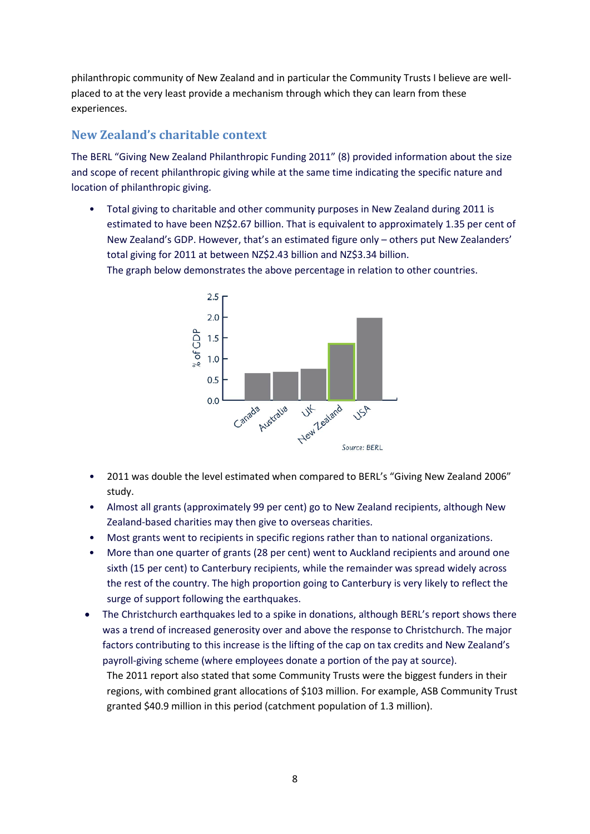philanthropic community of New Zealand and in particular the Community Trusts I believe are wellplaced to at the very least provide a mechanism through which they can learn from these experiences.

### <span id="page-9-0"></span>**New Zealand's charitable context**

The BERL "Giving New Zealand Philanthropic Funding 2011" (8) provided information about the size and scope of recent philanthropic giving while at the same time indicating the specific nature and location of philanthropic giving.

• Total giving to charitable and other community purposes in New Zealand during 2011 is estimated to have been NZ\$2.67 billion. That is equivalent to approximately 1.35 per cent of New Zealand's GDP. However, that's an estimated figure only – others put New Zealanders' total giving for 2011 at between NZ\$2.43 billion and NZ\$3.34 billion.

The graph below demonstrates the above percentage in relation to other countries.



- 2011 was double the level estimated when compared to BERL's "Giving New Zealand 2006" study.
- Almost all grants (approximately 99 per cent) go to New Zealand recipients, although New Zealand-based charities may then give to overseas charities.
- Most grants went to recipients in specific regions rather than to national organizations.
- More than one quarter of grants (28 per cent) went to Auckland recipients and around one sixth (15 per cent) to Canterbury recipients, while the remainder was spread widely across the rest of the country. The high proportion going to Canterbury is very likely to reflect the surge of support following the earthquakes.
- The Christchurch earthquakes led to a spike in donations, although BERL's report shows there was a trend of increased generosity over and above the response to Christchurch. The major factors contributing to this increase is the lifting of the cap on tax credits and New Zealand's payroll-giving scheme (where employees donate a portion of the pay at source).

The 2011 report also stated that some Community Trusts were the biggest funders in their regions, with combined grant allocations of \$103 million. For example, ASB Community Trust granted \$40.9 million in this period (catchment population of 1.3 million).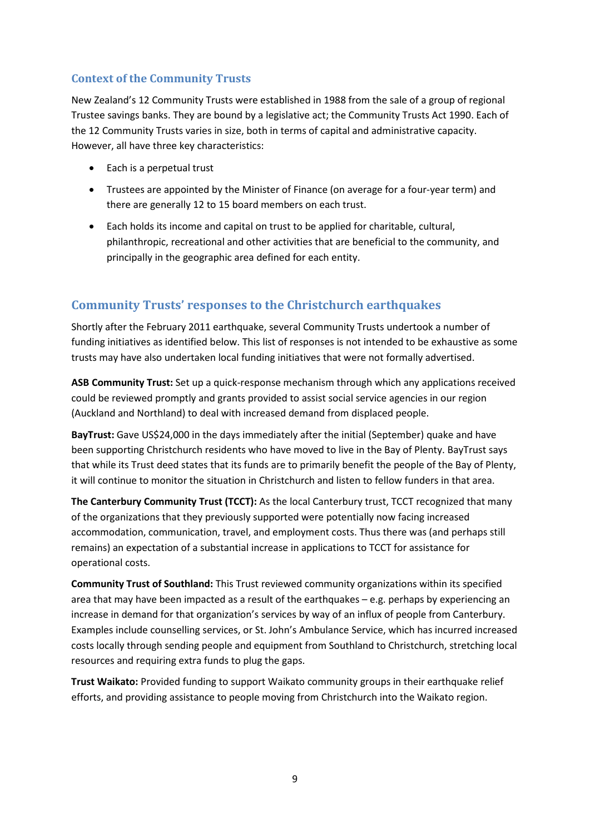#### <span id="page-10-0"></span>**Context of the Community Trusts**

New Zealand's 12 Community Trusts were established in 1988 from the sale of a group of regional Trustee savings banks. They are bound by a legislative act; the Community Trusts Act 1990. Each of the 12 Community Trusts varies in size, both in terms of capital and administrative capacity. However, all have three key characteristics:

- Each is a perpetual trust
- Trustees are appointed by the Minister of Finance (on average for a four-year term) and there are generally 12 to 15 board members on each trust.
- Each holds its income and capital on trust to be applied for charitable, cultural, philanthropic, recreational and other activities that are beneficial to the community, and principally in the geographic area defined for each entity.

### <span id="page-10-1"></span>**Community Trusts' responses to the Christchurch earthquakes**

Shortly after the February 2011 earthquake, several Community Trusts undertook a number of funding initiatives as identified below. This list of responses is not intended to be exhaustive as some trusts may have also undertaken local funding initiatives that were not formally advertised.

**ASB Community Trust:** Set up a quick-response mechanism through which any applications received could be reviewed promptly and grants provided to assist social service agencies in our region (Auckland and Northland) to deal with increased demand from displaced people.

**BayTrust:** Gave US\$24,000 in the days immediately after the initial (September) quake and have been supporting Christchurch residents who have moved to live in the Bay of Plenty. BayTrust says that while its Trust deed states that its funds are to primarily benefit the people of the Bay of Plenty, it will continue to monitor the situation in Christchurch and listen to fellow funders in that area.

**The Canterbury Community Trust (TCCT):** As the local Canterbury trust, TCCT recognized that many of the organizations that they previously supported were potentially now facing increased accommodation, communication, travel, and employment costs. Thus there was (and perhaps still remains) an expectation of a substantial increase in applications to TCCT for assistance for operational costs.

**Community Trust of Southland:** This Trust reviewed community organizations within its specified area that may have been impacted as a result of the earthquakes – e.g. perhaps by experiencing an increase in demand for that organization's services by way of an influx of people from Canterbury. Examples include counselling services, or St. John's Ambulance Service, which has incurred increased costs locally through sending people and equipment from Southland to Christchurch, stretching local resources and requiring extra funds to plug the gaps.

**Trust Waikato:** Provided funding to support Waikato community groups in their earthquake relief efforts, and providing assistance to people moving from Christchurch into the Waikato region.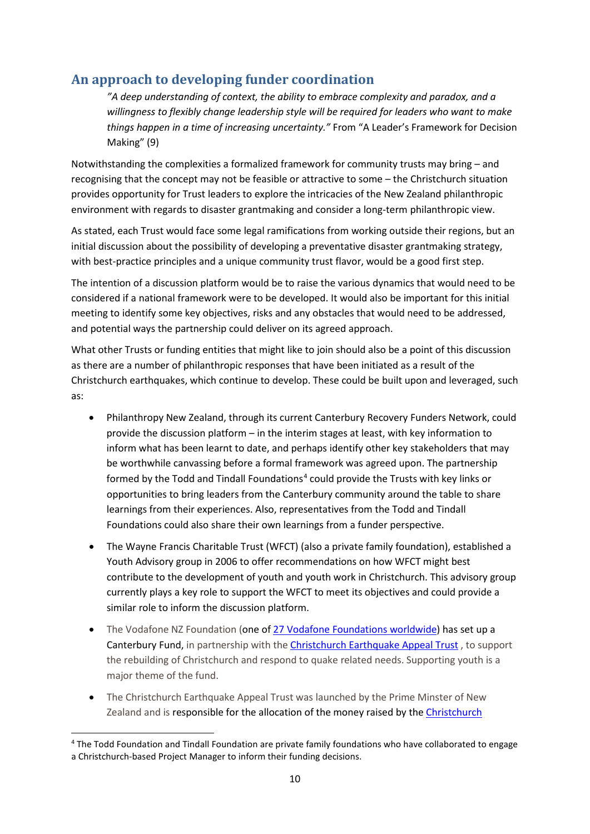## <span id="page-11-0"></span>**An approach to developing funder coordination**

*"A deep understanding of context, the ability to embrace complexity and paradox, and a willingness to flexibly change leadership style will be required for leaders who want to make things happen in a time of increasing uncertainty."* From "A Leader's Framework for Decision Making" (9)

Notwithstanding the complexities a formalized framework for community trusts may bring – and recognising that the concept may not be feasible or attractive to some – the Christchurch situation provides opportunity for Trust leaders to explore the intricacies of the New Zealand philanthropic environment with regards to disaster grantmaking and consider a long-term philanthropic view.

As stated, each Trust would face some legal ramifications from working outside their regions, but an initial discussion about the possibility of developing a preventative disaster grantmaking strategy, with best-practice principles and a unique community trust flavor, would be a good first step.

The intention of a discussion platform would be to raise the various dynamics that would need to be considered if a national framework were to be developed. It would also be important for this initial meeting to identify some key objectives, risks and any obstacles that would need to be addressed, and potential ways the partnership could deliver on its agreed approach.

What other Trusts or funding entities that might like to join should also be a point of this discussion as there are a number of philanthropic responses that have been initiated as a result of the Christchurch earthquakes, which continue to develop. These could be built upon and leveraged, such as:

- Philanthropy New Zealand, through its current Canterbury Recovery Funders Network, could provide the discussion platform – in the interim stages at least, with key information to inform what has been learnt to date, and perhaps identify other key stakeholders that may be worthwhile canvassing before a formal framework was agreed upon. The partnership formed by the Todd and Tindall Foundations<sup>[4](#page-11-1)</sup> could provide the Trusts with key links or opportunities to bring leaders from the Canterbury community around the table to share learnings from their experiences. Also, representatives from the Todd and Tindall Foundations could also share their own learnings from a funder perspective.
- The Wayne Francis Charitable Trust (WFCT) (also a private family foundation), established a Youth Advisory group in 2006 to offer recommendations on how WFCT might best contribute to the development of youth and youth work in Christchurch. This advisory group currently plays a key role to support the WFCT to meet its objectives and could provide a similar role to inform the discussion platform.
- The Vodafone NZ Foundation (one of [27 Vodafone Foundations worldwide\)](http://www.vodafone.com/content/index/about/foundation.html) has set up a Canterbury Fund, in partnership with the [Christchurch Earthquake Appeal Trust](http://christchurchappealtrust.org.nz/) , to support the rebuilding of Christchurch and respond to quake related needs. Supporting youth is a major theme of the fund.
- The Christchurch Earthquake Appeal Trust was launched by the Prime Minster of New Zealand and is responsible for the allocation of the money raised by the [Christchurch](http://christchurchappealtrust.org.nz/About-the-appeal)

<span id="page-11-1"></span><sup>&</sup>lt;sup>4</sup> The Todd Foundation and Tindall Foundation are private family foundations who have collaborated to engage a Christchurch-based Project Manager to inform their funding decisions.  $\overline{\phantom{a}}$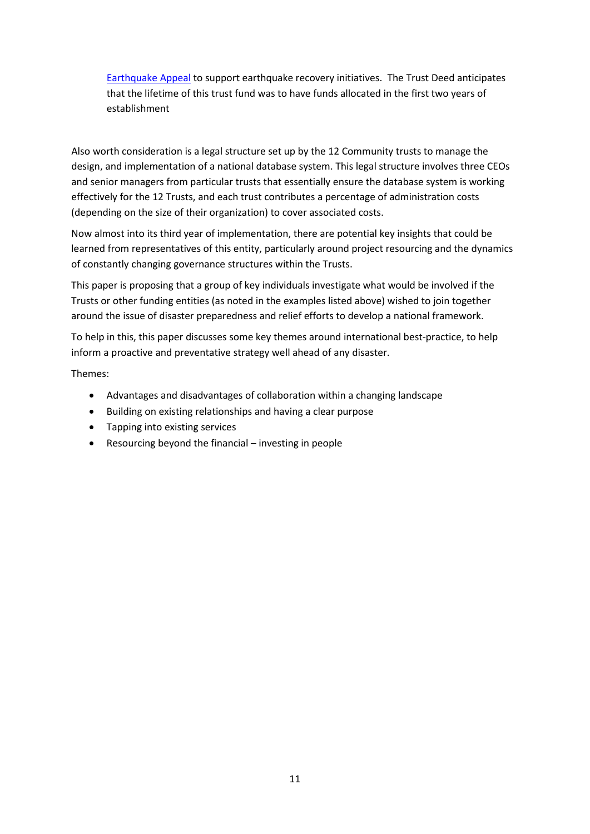[Earthquake Appeal](http://christchurchappealtrust.org.nz/About-the-appeal) to support earthquake recovery initiatives. The Trust Deed anticipates that the lifetime of this trust fund was to have funds allocated in the first two years of establishment

Also worth consideration is a legal structure set up by the 12 Community trusts to manage the design, and implementation of a national database system. This legal structure involves three CEOs and senior managers from particular trusts that essentially ensure the database system is working effectively for the 12 Trusts, and each trust contributes a percentage of administration costs (depending on the size of their organization) to cover associated costs.

Now almost into its third year of implementation, there are potential key insights that could be learned from representatives of this entity, particularly around project resourcing and the dynamics of constantly changing governance structures within the Trusts.

This paper is proposing that a group of key individuals investigate what would be involved if the Trusts or other funding entities (as noted in the examples listed above) wished to join together around the issue of disaster preparedness and relief efforts to develop a national framework.

To help in this, this paper discusses some key themes around international best-practice, to help inform a proactive and preventative strategy well ahead of any disaster.

Themes:

- Advantages and disadvantages of collaboration within a changing landscape
- Building on existing relationships and having a clear purpose
- Tapping into existing services
- Resourcing beyond the financial investing in people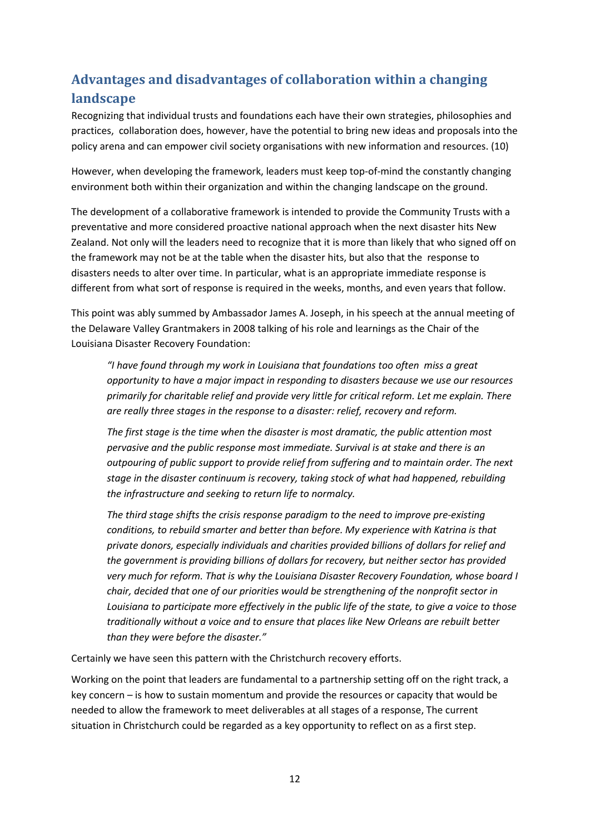## <span id="page-13-0"></span>**Advantages and disadvantages of collaboration within a changing landscape**

Recognizing that individual trusts and foundations each have their own strategies, philosophies and practices, collaboration does, however, have the potential to bring new ideas and proposals into the policy arena and can empower civil society organisations with new information and resources. (10)

However, when developing the framework, leaders must keep top-of-mind the constantly changing environment both within their organization and within the changing landscape on the ground.

The development of a collaborative framework is intended to provide the Community Trusts with a preventative and more considered proactive national approach when the next disaster hits New Zealand. Not only will the leaders need to recognize that it is more than likely that who signed off on the framework may not be at the table when the disaster hits, but also that the response to disasters needs to alter over time. In particular, what is an appropriate immediate response is different from what sort of response is required in the weeks, months, and even years that follow.

This point was ably summed by Ambassador James A. Joseph, in his speech at the annual meeting of the Delaware Valley Grantmakers in 2008 talking of his role and learnings as the Chair of the Louisiana Disaster Recovery Foundation:

*"I have found through my work in Louisiana that foundations too often miss a great opportunity to have a major impact in responding to disasters because we use our resources primarily for charitable relief and provide very little for critical reform. Let me explain. There are really three stages in the response to a disaster: relief, recovery and reform.*

*The first stage is the time when the disaster is most dramatic, the public attention most pervasive and the public response most immediate. Survival is at stake and there is an outpouring of public support to provide relief from suffering and to maintain order. The next stage in the disaster continuum is recovery, taking stock of what had happened, rebuilding the infrastructure and seeking to return life to normalcy.* 

*The third stage shifts the crisis response paradigm to the need to improve pre-existing conditions, to rebuild smarter and better than before. My experience with Katrina is that private donors, especially individuals and charities provided billions of dollars for relief and the government is providing billions of dollars for recovery, but neither sector has provided very much for reform. That is why the Louisiana Disaster Recovery Foundation, whose board I chair, decided that one of our priorities would be strengthening of the nonprofit sector in Louisiana to participate more effectively in the public life of the state, to give a voice to those traditionally without a voice and to ensure that places like New Orleans are rebuilt better than they were before the disaster."* 

Certainly we have seen this pattern with the Christchurch recovery efforts.

Working on the point that leaders are fundamental to a partnership setting off on the right track, a key concern – is how to sustain momentum and provide the resources or capacity that would be needed to allow the framework to meet deliverables at all stages of a response, The current situation in Christchurch could be regarded as a key opportunity to reflect on as a first step.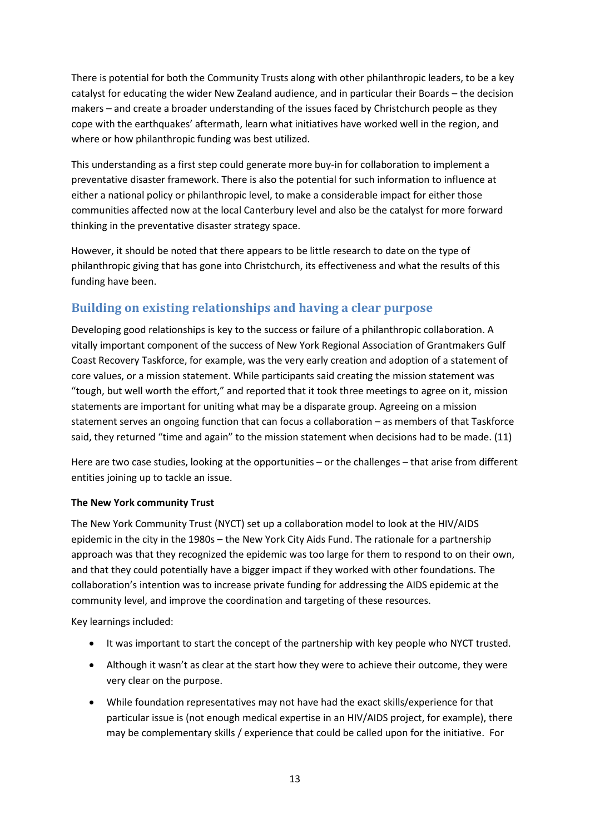There is potential for both the Community Trusts along with other philanthropic leaders, to be a key catalyst for educating the wider New Zealand audience, and in particular their Boards – the decision makers – and create a broader understanding of the issues faced by Christchurch people as they cope with the earthquakes' aftermath, learn what initiatives have worked well in the region, and where or how philanthropic funding was best utilized.

This understanding as a first step could generate more buy-in for collaboration to implement a preventative disaster framework. There is also the potential for such information to influence at either a national policy or philanthropic level, to make a considerable impact for either those communities affected now at the local Canterbury level and also be the catalyst for more forward thinking in the preventative disaster strategy space.

However, it should be noted that there appears to be little research to date on the type of philanthropic giving that has gone into Christchurch, its effectiveness and what the results of this funding have been.

## <span id="page-14-0"></span>**Building on existing relationships and having a clear purpose**

Developing good relationships is key to the success or failure of a philanthropic collaboration. A vitally important component of the success of New York Regional Association of Grantmakers Gulf Coast Recovery Taskforce, for example, was the very early creation and adoption of a statement of core values, or a mission statement. While participants said creating the mission statement was "tough, but well worth the effort," and reported that it took three meetings to agree on it, mission statements are important for uniting what may be a disparate group. Agreeing on a mission statement serves an ongoing function that can focus a collaboration – as members of that Taskforce said, they returned "time and again" to the mission statement when decisions had to be made. (11)

Here are two case studies, looking at the opportunities – or the challenges – that arise from different entities joining up to tackle an issue.

#### **The New York community Trust**

The New York Community Trust (NYCT) set up a collaboration model to look at the HIV/AIDS epidemic in the city in the 1980s – the New York City Aids Fund. The rationale for a partnership approach was that they recognized the epidemic was too large for them to respond to on their own, and that they could potentially have a bigger impact if they worked with other foundations. The collaboration's intention was to increase private funding for addressing the AIDS epidemic at the community level, and improve the coordination and targeting of these resources.

Key learnings included:

- It was important to start the concept of the partnership with key people who NYCT trusted.
- Although it wasn't as clear at the start how they were to achieve their outcome, they were very clear on the purpose.
- While foundation representatives may not have had the exact skills/experience for that particular issue is (not enough medical expertise in an HIV/AIDS project, for example), there may be complementary skills / experience that could be called upon for the initiative. For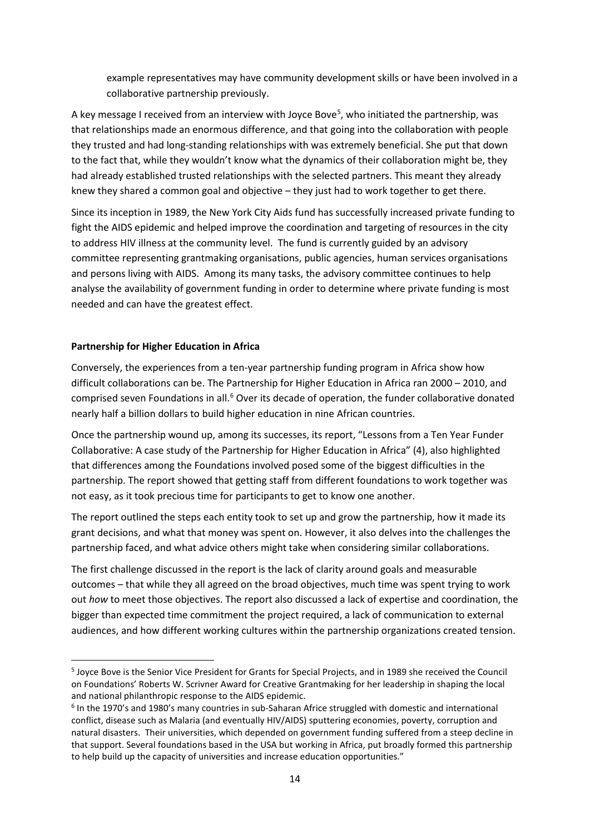example representatives may have community development skills or have been involved in a collaborative partnership previously.

A key message I received from an interview with Joyce Bove<sup>5</sup>, who initiated the partnership, was that relationships made an enormous difference, and that going into the collaboration with people they trusted and had long-standing relationships with was extremely beneficial. She put that down to the fact that, while they wouldn't know what the dynamics of their collaboration might be, they had already established trusted relationships with the selected partners. This meant they already knew they shared a common goal and objective – they just had to work together to get there.

Since its inception in 1989, the New York City Aids fund has successfully increased private funding to fight the AIDS epidemic and helped improve the coordination and targeting of resources in the city to address HIV illness at the community level. The fund is currently guided by an advisory committee representing grantmaking organisations, public agencies, human services organisations and persons living with AIDS. Among its many tasks, the advisory committee continues to help analyse the availability of government funding in order to determine where private funding is most needed and can have the greatest effect.

#### **Partnership for Higher Education in Africa**

 $\overline{\phantom{a}}$ 

Conversely, the experiences from a ten-year partnership funding program in Africa show how difficult collaborations can be. The Partnership for Higher Education in Africa ran 2000 – 2010, and comprised seven Foundations in all.<sup>[6](#page-15-1)</sup> Over its decade of operation, the funder collaborative donated nearly half a billion dollars to build higher education in nine African countries.

Once the partnership wound up, among its successes, its report, "Lessons from a Ten Year Funder Collaborative: A case study of the Partnership for Higher Education in Africa" (4), also highlighted that differences among the Foundations involved posed some of the biggest difficulties in the partnership. The report showed that getting staff from different foundations to work together was not easy, as it took precious time for participants to get to know one another.

The report outlined the steps each entity took to set up and grow the partnership, how it made its grant decisions, and what that money was spent on. However, it also delves into the challenges the partnership faced, and what advice others might take when considering similar collaborations.

The first challenge discussed in the report is the lack of clarity around goals and measurable outcomes – that while they all agreed on the broad objectives, much time was spent trying to work out *how* to meet those objectives. The report also discussed a lack of expertise and coordination, the bigger than expected time commitment the project required, a lack of communication to external audiences, and how different working cultures within the partnership organizations created tension.

<span id="page-15-0"></span><sup>5</sup> Joyce Bove is the Senior Vice President for Grants for Special Projects, and in 1989 she received the Council on Foundations' Roberts W. Scrivner Award for Creative Grantmaking for her leadership in shaping the local and national philanthropic response to the AIDS epidemic.

<span id="page-15-1"></span><sup>&</sup>lt;sup>6</sup> In the 1970's and 1980's many countries in sub-Saharan Africe struggled with domestic and international conflict, disease such as Malaria (and eventually HIV/AIDS) sputtering economies, poverty, corruption and natural disasters. Their universities, which depended on government funding suffered from a steep decline in that support. Several foundations based in the USA but working in Africa, put broadly formed this partnership to help build up the capacity of universities and increase education opportunities."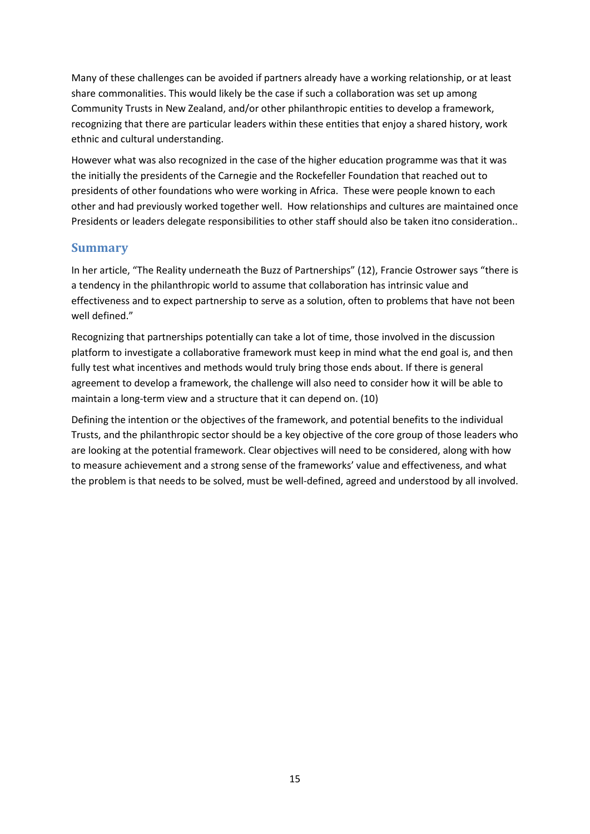Many of these challenges can be avoided if partners already have a working relationship, or at least share commonalities. This would likely be the case if such a collaboration was set up among Community Trusts in New Zealand, and/or other philanthropic entities to develop a framework, recognizing that there are particular leaders within these entities that enjoy a shared history, work ethnic and cultural understanding.

However what was also recognized in the case of the higher education programme was that it was the initially the presidents of the Carnegie and the Rockefeller Foundation that reached out to presidents of other foundations who were working in Africa. These were people known to each other and had previously worked together well. How relationships and cultures are maintained once Presidents or leaders delegate responsibilities to other staff should also be taken itno consideration..

#### <span id="page-16-0"></span>**Summary**

In her article, "The Reality underneath the Buzz of Partnerships" (12), Francie Ostrower says "there is a tendency in the philanthropic world to assume that collaboration has intrinsic value and effectiveness and to expect partnership to serve as a solution, often to problems that have not been well defined."

Recognizing that partnerships potentially can take a lot of time, those involved in the discussion platform to investigate a collaborative framework must keep in mind what the end goal is, and then fully test what incentives and methods would truly bring those ends about. If there is general agreement to develop a framework, the challenge will also need to consider how it will be able to maintain a long-term view and a structure that it can depend on. (10)

Defining the intention or the objectives of the framework, and potential benefits to the individual Trusts, and the philanthropic sector should be a key objective of the core group of those leaders who are looking at the potential framework. Clear objectives will need to be considered, along with how to measure achievement and a strong sense of the frameworks' value and effectiveness, and what the problem is that needs to be solved, must be well-defined, agreed and understood by all involved.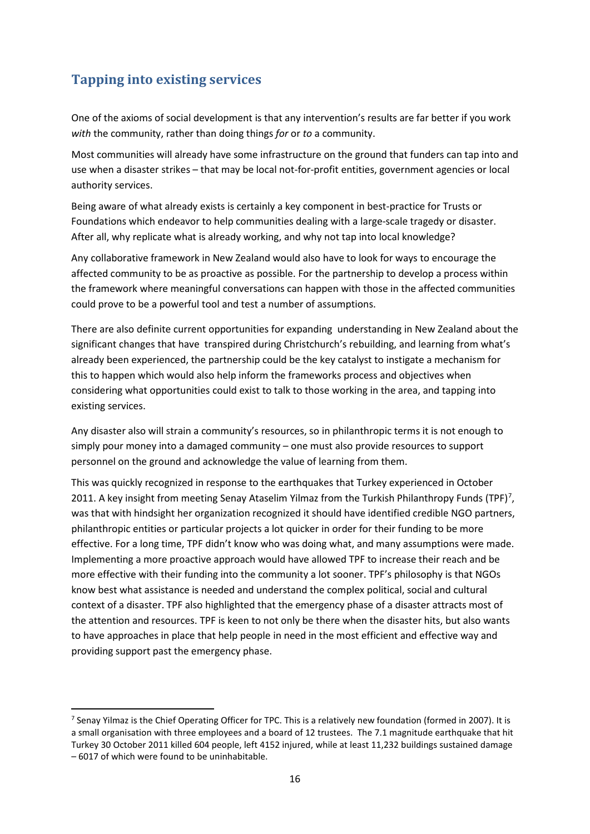## <span id="page-17-0"></span>**Tapping into existing services**

**.** 

One of the axioms of social development is that any intervention's results are far better if you work *with* the community, rather than doing things *for* or *to* a community.

Most communities will already have some infrastructure on the ground that funders can tap into and use when a disaster strikes – that may be local not-for-profit entities, government agencies or local authority services.

Being aware of what already exists is certainly a key component in best-practice for Trusts or Foundations which endeavor to help communities dealing with a large-scale tragedy or disaster. After all, why replicate what is already working, and why not tap into local knowledge?

Any collaborative framework in New Zealand would also have to look for ways to encourage the affected community to be as proactive as possible. For the partnership to develop a process within the framework where meaningful conversations can happen with those in the affected communities could prove to be a powerful tool and test a number of assumptions.

There are also definite current opportunities for expanding understanding in New Zealand about the significant changes that have transpired during Christchurch's rebuilding, and learning from what's already been experienced, the partnership could be the key catalyst to instigate a mechanism for this to happen which would also help inform the frameworks process and objectives when considering what opportunities could exist to talk to those working in the area, and tapping into existing services.

Any disaster also will strain a community's resources, so in philanthropic terms it is not enough to simply pour money into a damaged community – one must also provide resources to support personnel on the ground and acknowledge the value of learning from them.

This was quickly recognized in response to the earthquakes that Turkey experienced in October 2011. A key insight from meeting Senay Ataselim Yilmaz from the Turkish Philanthropy Funds (TPF)<sup>[7](#page-17-1)</sup>, was that with hindsight her organization recognized it should have identified credible NGO partners, philanthropic entities or particular projects a lot quicker in order for their funding to be more effective. For a long time, TPF didn't know who was doing what, and many assumptions were made. Implementing a more proactive approach would have allowed TPF to increase their reach and be more effective with their funding into the community a lot sooner. TPF's philosophy is that NGOs know best what assistance is needed and understand the complex political, social and cultural context of a disaster. TPF also highlighted that the emergency phase of a disaster attracts most of the attention and resources. TPF is keen to not only be there when the disaster hits, but also wants to have approaches in place that help people in need in the most efficient and effective way and providing support past the emergency phase.

<span id="page-17-1"></span><sup>&</sup>lt;sup>7</sup> Senay Yilmaz is the Chief Operating Officer for TPC. This is a relatively new foundation (formed in 2007). It is a small organisation with three employees and a board of 12 trustees. The 7.1 magnitude earthquake that hit Turkey 30 October 2011 killed 604 people, left 4152 injured, while at least 11,232 buildings sustained damage – 6017 of which were found to be uninhabitable.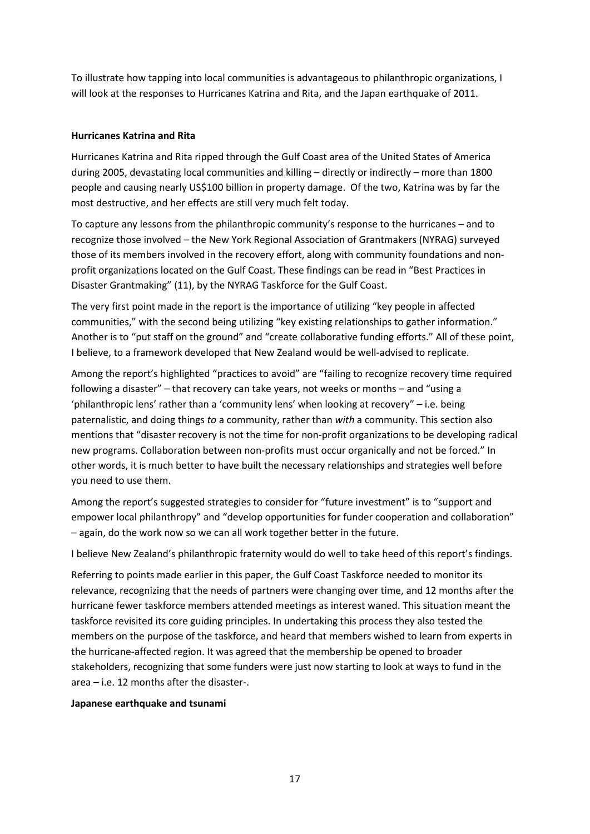To illustrate how tapping into local communities is advantageous to philanthropic organizations, I will look at the responses to Hurricanes Katrina and Rita, and the Japan earthquake of 2011.

#### **Hurricanes Katrina and Rita**

Hurricanes Katrina and Rita ripped through the Gulf Coast area of the United States of America during 2005, devastating local communities and killing – directly or indirectly – more than 1800 people and causing nearly US\$100 billion in property damage. Of the two, Katrina was by far the most destructive, and her effects are still very much felt today.

To capture any lessons from the philanthropic community's response to the hurricanes – and to recognize those involved – the New York Regional Association of Grantmakers (NYRAG) surveyed those of its members involved in the recovery effort, along with community foundations and nonprofit organizations located on the Gulf Coast. These findings can be read in "Best Practices in Disaster Grantmaking" (11), by the NYRAG Taskforce for the Gulf Coast.

The very first point made in the report is the importance of utilizing "key people in affected communities," with the second being utilizing "key existing relationships to gather information." Another is to "put staff on the ground" and "create collaborative funding efforts." All of these point, I believe, to a framework developed that New Zealand would be well-advised to replicate.

Among the report's highlighted "practices to avoid" are "failing to recognize recovery time required following a disaster" – that recovery can take years, not weeks or months – and "using a 'philanthropic lens' rather than a 'community lens' when looking at recovery" – i.e. being paternalistic, and doing things *to* a community, rather than *with* a community. This section also mentions that "disaster recovery is not the time for non-profit organizations to be developing radical new programs. Collaboration between non-profits must occur organically and not be forced." In other words, it is much better to have built the necessary relationships and strategies well before you need to use them.

Among the report's suggested strategies to consider for "future investment" is to "support and empower local philanthropy" and "develop opportunities for funder cooperation and collaboration" – again, do the work now so we can all work together better in the future.

I believe New Zealand's philanthropic fraternity would do well to take heed of this report's findings.

Referring to points made earlier in this paper, the Gulf Coast Taskforce needed to monitor its relevance, recognizing that the needs of partners were changing over time, and 12 months after the hurricane fewer taskforce members attended meetings as interest waned. This situation meant the taskforce revisited its core guiding principles. In undertaking this process they also tested the members on the purpose of the taskforce, and heard that members wished to learn from experts in the hurricane-affected region. It was agreed that the membership be opened to broader stakeholders, recognizing that some funders were just now starting to look at ways to fund in the area – i.e. 12 months after the disaster-.

#### **Japanese earthquake and tsunami**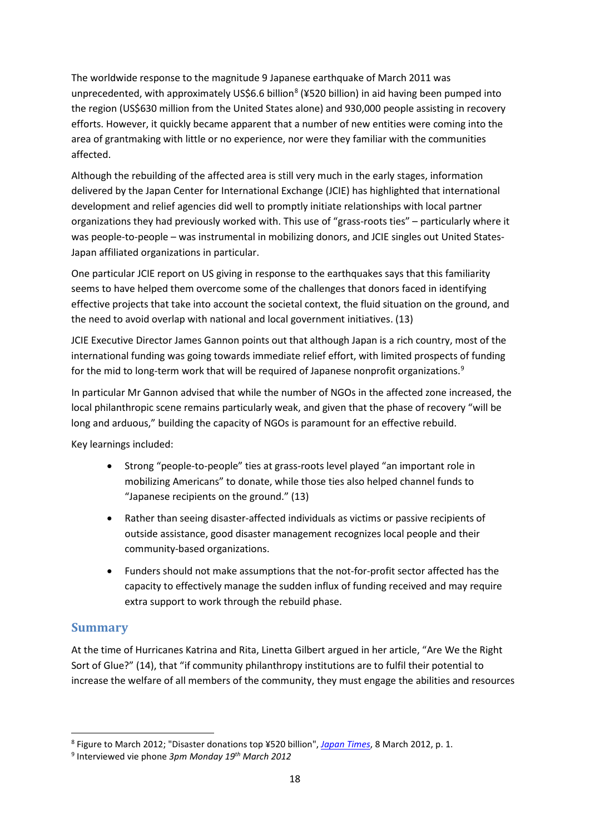The worldwide response to the magnitude 9 Japanese earthquake of March 2011 was unprecedented, with approximately US\$6.6 billion<sup>[8](#page-19-1)</sup> (¥520 billion) in aid having been pumped into the region (US\$630 million from the United States alone) and 930,000 people assisting in recovery efforts. However, it quickly became apparent that a number of new entities were coming into the area of grantmaking with little or no experience, nor were they familiar with the communities affected.

Although the rebuilding of the affected area is still very much in the early stages, information delivered by the Japan Center for International Exchange (JCIE) has highlighted that international development and relief agencies did well to promptly initiate relationships with local partner organizations they had previously worked with. This use of "grass-roots ties" – particularly where it was people-to-people – was instrumental in mobilizing donors, and JCIE singles out United States-Japan affiliated organizations in particular.

One particular JCIE report on US giving in response to the earthquakes says that this familiarity seems to have helped them overcome some of the challenges that donors faced in identifying effective projects that take into account the societal context, the fluid situation on the ground, and the need to avoid overlap with national and local government initiatives. (13)

JCIE Executive Director James Gannon points out that although Japan is a rich country, most of the international funding was going towards immediate relief effort, with limited prospects of funding for the mid to long-term work that will be required of Japanese nonprofit organizations.<sup>[9](#page-19-2)</sup>

In particular Mr Gannon advised that while the number of NGOs in the affected zone increased, the local philanthropic scene remains particularly weak, and given that the phase of recovery "will be long and arduous," building the capacity of NGOs is paramount for an effective rebuild.

Key learnings included:

- Strong "people-to-people" ties at grass-roots level played "an important role in mobilizing Americans" to donate, while those ties also helped channel funds to "Japanese recipients on the ground." (13)
- Rather than seeing disaster-affected individuals as victims or passive recipients of outside assistance, good disaster management recognizes local people and their community-based organizations.
- Funders should not make assumptions that the not-for-profit sector affected has the capacity to effectively manage the sudden influx of funding received and may require extra support to work through the rebuild phase.

### <span id="page-19-0"></span>**Summary**

 $\overline{\phantom{a}}$ 

At the time of Hurricanes Katrina and Rita, Linetta Gilbert argued in her article, "Are We the Right Sort of Glue?" (14), that "if community philanthropy institutions are to fulfil their potential to increase the welfare of all members of the community, they must engage the abilities and resources

<span id="page-19-1"></span><sup>8</sup> Figure to March 2012; "Disaster donations top ¥520 billion", *[Japan Times](http://en.wikipedia.org/wiki/Japan_Times)*, 8 March 2012, p. 1.

<span id="page-19-2"></span><sup>9</sup> Interviewed vie phone *3pm Monday 19th March 2012*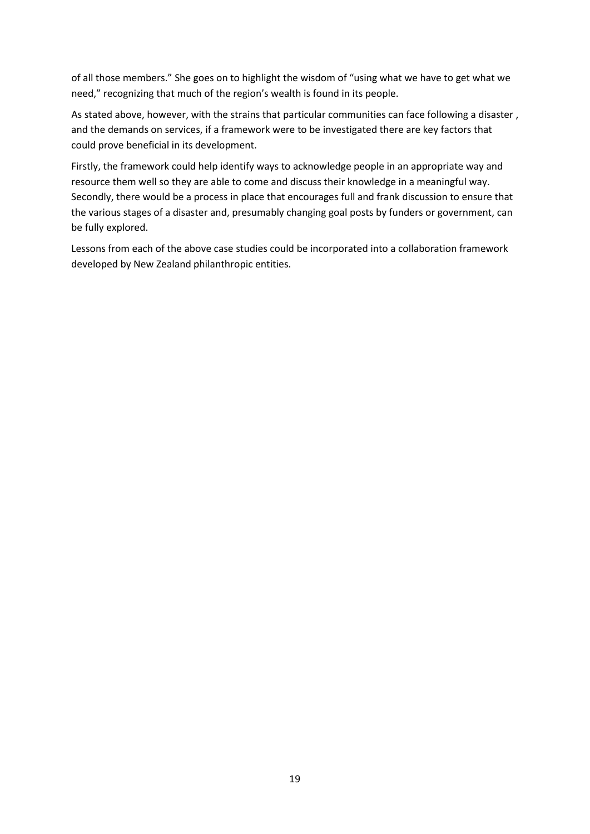of all those members." She goes on to highlight the wisdom of "using what we have to get what we need," recognizing that much of the region's wealth is found in its people.

As stated above, however, with the strains that particular communities can face following a disaster , and the demands on services, if a framework were to be investigated there are key factors that could prove beneficial in its development.

Firstly, the framework could help identify ways to acknowledge people in an appropriate way and resource them well so they are able to come and discuss their knowledge in a meaningful way. Secondly, there would be a process in place that encourages full and frank discussion to ensure that the various stages of a disaster and, presumably changing goal posts by funders or government, can be fully explored.

Lessons from each of the above case studies could be incorporated into a collaboration framework developed by New Zealand philanthropic entities.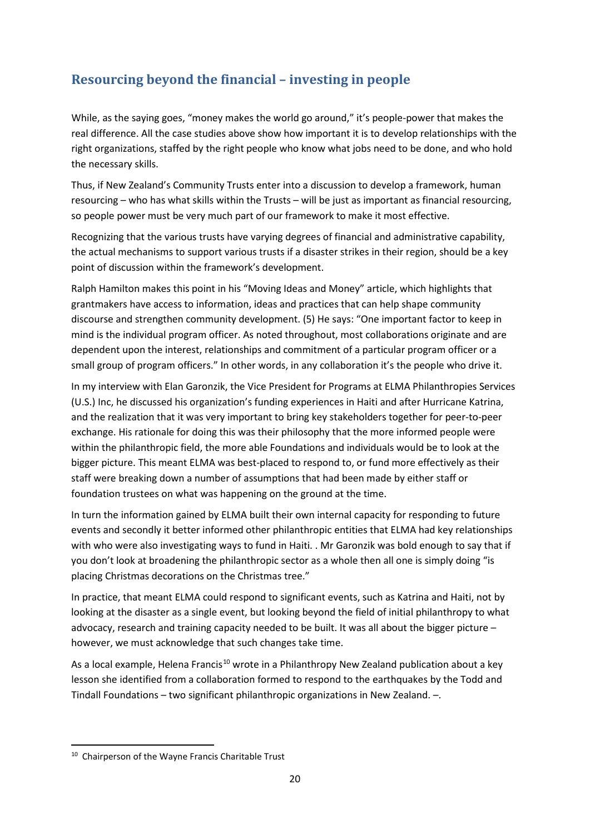## <span id="page-21-0"></span>**Resourcing beyond the financial – investing in people**

While, as the saying goes, "money makes the world go around," it's people-power that makes the real difference. All the case studies above show how important it is to develop relationships with the right organizations, staffed by the right people who know what jobs need to be done, and who hold the necessary skills.

Thus, if New Zealand's Community Trusts enter into a discussion to develop a framework, human resourcing – who has what skills within the Trusts – will be just as important as financial resourcing, so people power must be very much part of our framework to make it most effective.

Recognizing that the various trusts have varying degrees of financial and administrative capability, the actual mechanisms to support various trusts if a disaster strikes in their region, should be a key point of discussion within the framework's development.

Ralph Hamilton makes this point in his "Moving Ideas and Money" article, which highlights that grantmakers have access to information, ideas and practices that can help shape community discourse and strengthen community development. (5) He says: "One important factor to keep in mind is the individual program officer. As noted throughout, most collaborations originate and are dependent upon the interest, relationships and commitment of a particular program officer or a small group of program officers." In other words, in any collaboration it's the people who drive it.

In my interview with Elan Garonzik, the Vice President for Programs at ELMA Philanthropies Services (U.S.) Inc, he discussed his organization's funding experiences in Haiti and after Hurricane Katrina, and the realization that it was very important to bring key stakeholders together for peer-to-peer exchange. His rationale for doing this was their philosophy that the more informed people were within the philanthropic field, the more able Foundations and individuals would be to look at the bigger picture. This meant ELMA was best-placed to respond to, or fund more effectively as their staff were breaking down a number of assumptions that had been made by either staff or foundation trustees on what was happening on the ground at the time.

In turn the information gained by ELMA built their own internal capacity for responding to future events and secondly it better informed other philanthropic entities that ELMA had key relationships with who were also investigating ways to fund in Haiti. . Mr Garonzik was bold enough to say that if you don't look at broadening the philanthropic sector as a whole then all one is simply doing "is placing Christmas decorations on the Christmas tree."

In practice, that meant ELMA could respond to significant events, such as Katrina and Haiti, not by looking at the disaster as a single event, but looking beyond the field of initial philanthropy to what advocacy, research and training capacity needed to be built. It was all about the bigger picture – however, we must acknowledge that such changes take time.

As a local example, Helena Francis<sup>[10](#page-21-1)</sup> wrote in a Philanthropy New Zealand publication about a key lesson she identified from a collaboration formed to respond to the earthquakes by the Todd and Tindall Foundations – two significant philanthropic organizations in New Zealand. –.

 $\overline{\phantom{a}}$ 

<span id="page-21-1"></span><sup>&</sup>lt;sup>10</sup> Chairperson of the Wayne Francis Charitable Trust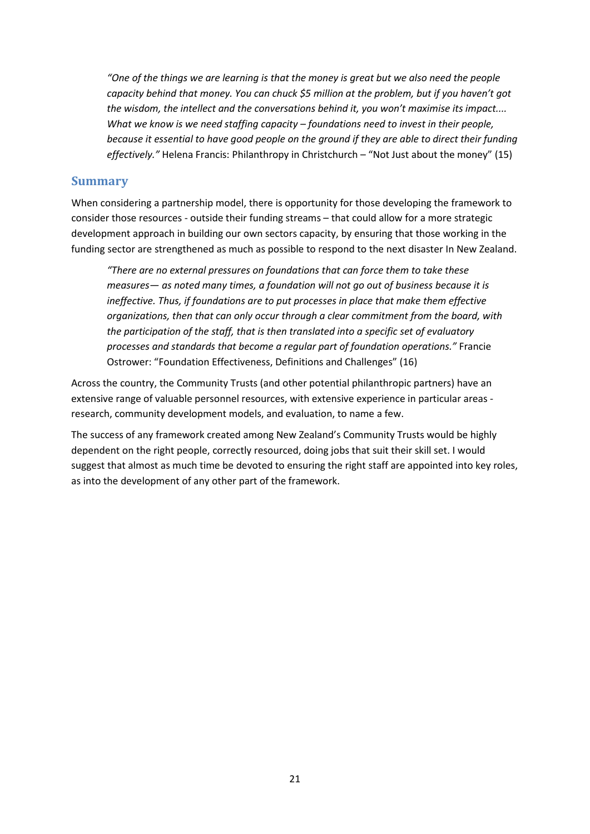*"One of the things we are learning is that the money is great but we also need the people capacity behind that money. You can chuck \$5 million at the problem, but if you haven't got the wisdom, the intellect and the conversations behind it, you won't maximise its impact.... What we know is we need staffing capacity – foundations need to invest in their people, because it essential to have good people on the ground if they are able to direct their funding effectively."* Helena Francis: Philanthropy in Christchurch – "Not Just about the money" (15)

#### <span id="page-22-0"></span>**Summary**

When considering a partnership model, there is opportunity for those developing the framework to consider those resources - outside their funding streams – that could allow for a more strategic development approach in building our own sectors capacity, by ensuring that those working in the funding sector are strengthened as much as possible to respond to the next disaster In New Zealand.

*"There are no external pressures on foundations that can force them to take these measures— as noted many times, a foundation will not go out of business because it is ineffective. Thus, if foundations are to put processes in place that make them effective organizations, then that can only occur through a clear commitment from the board, with the participation of the staff, that is then translated into a specific set of evaluatory processes and standards that become a regular part of foundation operations."* Francie Ostrower: "Foundation Effectiveness, Definitions and Challenges" (16)

Across the country, the Community Trusts (and other potential philanthropic partners) have an extensive range of valuable personnel resources, with extensive experience in particular areas research, community development models, and evaluation, to name a few.

The success of any framework created among New Zealand's Community Trusts would be highly dependent on the right people, correctly resourced, doing jobs that suit their skill set. I would suggest that almost as much time be devoted to ensuring the right staff are appointed into key roles, as into the development of any other part of the framework.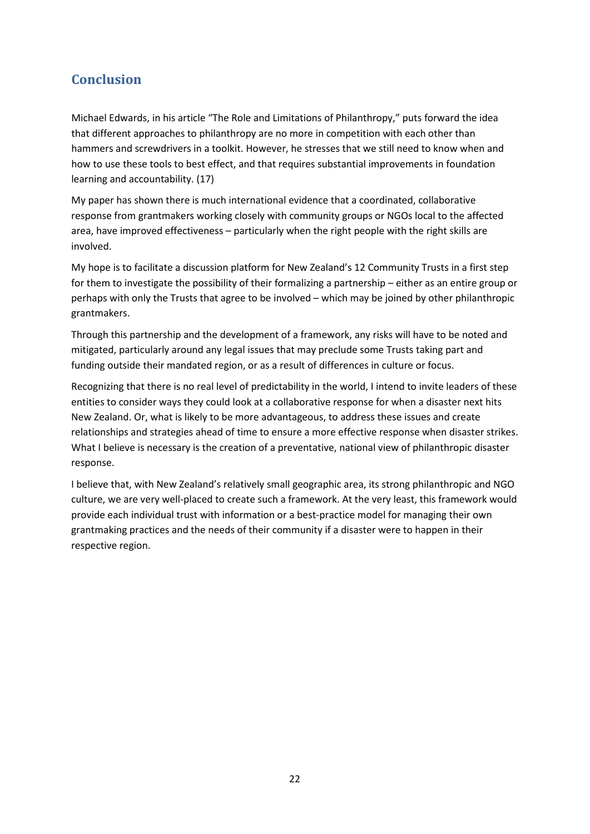## <span id="page-23-0"></span>**Conclusion**

Michael Edwards, in his article "The Role and Limitations of Philanthropy," puts forward the idea that different approaches to philanthropy are no more in competition with each other than hammers and screwdrivers in a toolkit. However, he stresses that we still need to know when and how to use these tools to best effect, and that requires substantial improvements in foundation learning and accountability. (17)

My paper has shown there is much international evidence that a coordinated, collaborative response from grantmakers working closely with community groups or NGOs local to the affected area, have improved effectiveness – particularly when the right people with the right skills are involved.

My hope is to facilitate a discussion platform for New Zealand's 12 Community Trusts in a first step for them to investigate the possibility of their formalizing a partnership – either as an entire group or perhaps with only the Trusts that agree to be involved – which may be joined by other philanthropic grantmakers.

Through this partnership and the development of a framework, any risks will have to be noted and mitigated, particularly around any legal issues that may preclude some Trusts taking part and funding outside their mandated region, or as a result of differences in culture or focus.

Recognizing that there is no real level of predictability in the world, I intend to invite leaders of these entities to consider ways they could look at a collaborative response for when a disaster next hits New Zealand. Or, what is likely to be more advantageous, to address these issues and create relationships and strategies ahead of time to ensure a more effective response when disaster strikes. What I believe is necessary is the creation of a preventative, national view of philanthropic disaster response.

I believe that, with New Zealand's relatively small geographic area, its strong philanthropic and NGO culture, we are very well-placed to create such a framework. At the very least, this framework would provide each individual trust with information or a best-practice model for managing their own grantmaking practices and the needs of their community if a disaster were to happen in their respective region.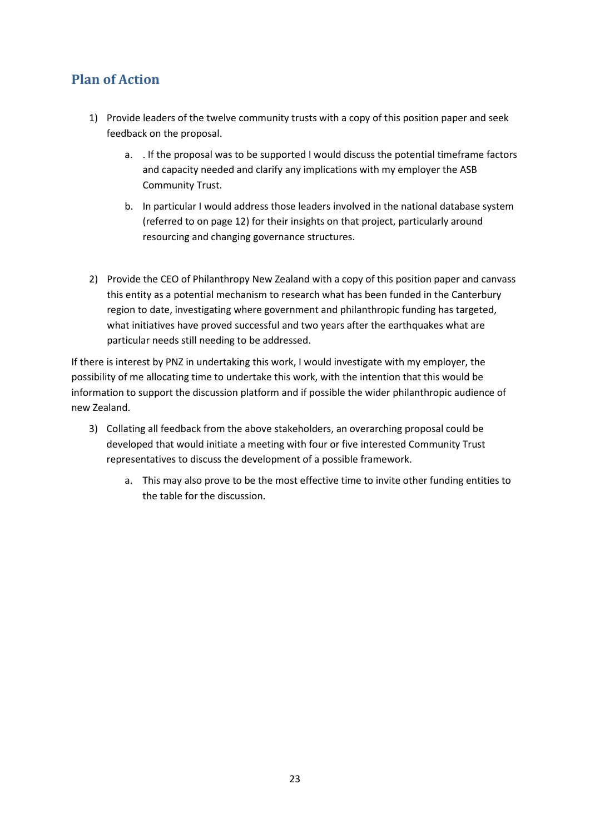## <span id="page-24-0"></span>**Plan of Action**

- 1) Provide leaders of the twelve community trusts with a copy of this position paper and seek feedback on the proposal.
	- a. . If the proposal was to be supported I would discuss the potential timeframe factors and capacity needed and clarify any implications with my employer the ASB Community Trust.
	- b. In particular I would address those leaders involved in the national database system (referred to on page 12) for their insights on that project, particularly around resourcing and changing governance structures.
- 2) Provide the CEO of Philanthropy New Zealand with a copy of this position paper and canvass this entity as a potential mechanism to research what has been funded in the Canterbury region to date, investigating where government and philanthropic funding has targeted, what initiatives have proved successful and two years after the earthquakes what are particular needs still needing to be addressed.

If there is interest by PNZ in undertaking this work, I would investigate with my employer, the possibility of me allocating time to undertake this work, with the intention that this would be information to support the discussion platform and if possible the wider philanthropic audience of new Zealand.

- 3) Collating all feedback from the above stakeholders, an overarching proposal could be developed that would initiate a meeting with four or five interested Community Trust representatives to discuss the development of a possible framework.
	- a. This may also prove to be the most effective time to invite other funding entities to the table for the discussion.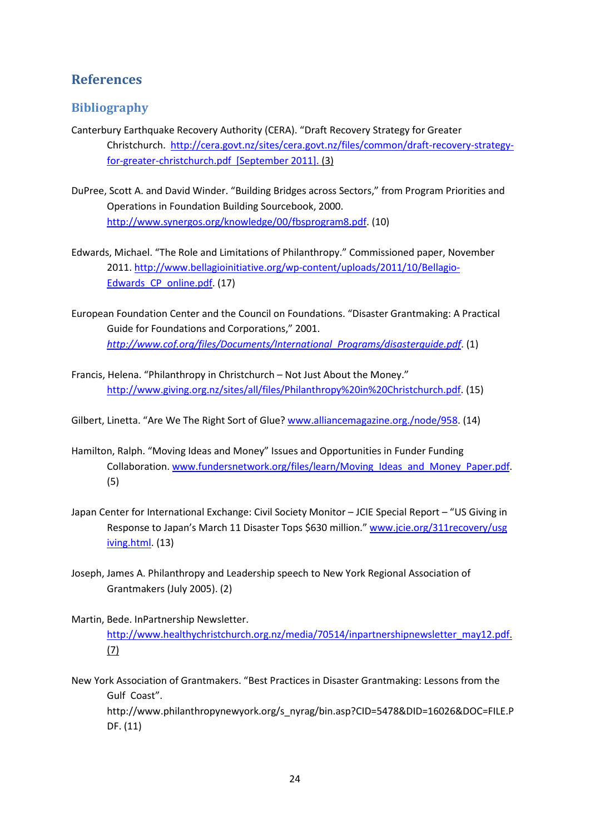### <span id="page-25-0"></span>**References**

#### <span id="page-25-1"></span>**Bibliography**

- Canterbury Earthquake Recovery Authority (CERA). "Draft Recovery Strategy for Greater Christchurch. [http://cera.govt.nz/sites/cera.govt.nz/files/common/draft-recovery-strategy](http://cera.govt.nz/sites/cera.govt.nz/files/common/draft-recovery-strategy-for-greater-christchurch.pdf)[for-greater-christchurch.pdf](http://cera.govt.nz/sites/cera.govt.nz/files/common/draft-recovery-strategy-for-greater-christchurch.pdf) [September 2011]. (3)
- DuPree, Scott A. and David Winder. "Building Bridges across Sectors," from Program Priorities and Operations in Foundation Building Sourcebook, 2000. [http://www.synergos.org/knowledge/00/fbsprogram8.pdf.](http://www.synergos.org/knowledge/00/fbsprogram8.pdf) (10)
- Edwards, Michael. "The Role and Limitations of Philanthropy." Commissioned paper, November 2011. [http://www.bellagioinitiative.org/wp-content/uploads/2011/10/Bellagio-](http://www.bellagioinitiative.org/wp-content/uploads/2011/10/Bellagio-Edwards_CP_online.pdf)[Edwards\\_CP\\_online.pdf.](http://www.bellagioinitiative.org/wp-content/uploads/2011/10/Bellagio-Edwards_CP_online.pdf) (17)
- European Foundation Center and the Council on Foundations. "Disaster Grantmaking: A Practical Guide for Foundations and Corporations," 2001. *[http://www.cof.org/files/Documents/International\\_Programs/disasterguide.pdf](http://www.cof.org/files/Documents/International_Programs/disasterguide.pdf)*. (1)
- Francis, Helena. "Philanthropy in Christchurch Not Just About the Money." [http://www.giving.org.nz/sites/all/files/Philanthropy%20in%20Christchurch.pdf.](http://www.giving.org.nz/sites/all/files/Philanthropy%20in%20Christchurch.pdf) (15)

Gilbert, Linetta. "Are We The Right Sort of Glue? [www.alliancemagazine.org./node/958.](http://www.alliancemagazine.org./node/958) (14)

- Hamilton, Ralph. "Moving Ideas and Money" Issues and Opportunities in Funder Funding Collaboration. [www.fundersnetwork.org/files/learn/Moving\\_Ideas\\_and\\_Money\\_Paper.pdf.](http://www.fundersnetwork.org/files/learn/Moving_Ideas_and_Money_Paper.pdf) (5)
- Japan Center for International Exchange: Civil Society Monitor JCIE Special Report "US Giving in Response to Japan's March 11 Disaster Tops \$630 million." [www.jcie.org/311recovery/usg](http://www.jcie.org/311recovery/usg%20iving.html)  [iving.html.](http://www.jcie.org/311recovery/usg%20iving.html) (13)
- Joseph, James A. Philanthropy and Leadership speech to New York Regional Association of Grantmakers (July 2005). (2)
- Martin, Bede. InPartnership Newsletter. [http://www.healthychristchurch.org.nz/media/70514/inpartnershipnewsletter\\_may12.pdf.](http://www.healthychristchurch.org.nz/media/70514/inpartnershipnewsletter_may12.pdf) (7)
- New York Association of Grantmakers. "Best Practices in Disaster Grantmaking: Lessons from the Gulf Coast".

[http://www.philanthropynewyork.org/s\\_nyrag/bin.asp?CID=5478&DID=16026&DOC=FILE.P](http://www.philanthropynewyork.org/s_nyrag/bin.asp?CID=5478&DID=16026&DOC=FILE.PDF) [DF.](http://www.philanthropynewyork.org/s_nyrag/bin.asp?CID=5478&DID=16026&DOC=FILE.PDF) (11)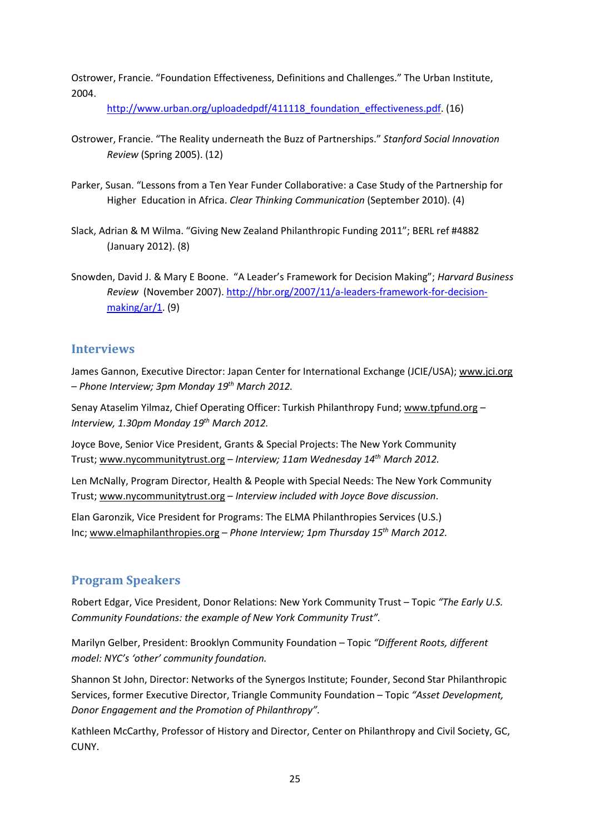Ostrower, Francie. "Foundation Effectiveness, Definitions and Challenges." The Urban Institute, 2004.

http://www.urban.org/uploadedpdf/411118 foundation effectiveness.pdf. (16)

- Ostrower, Francie. "The Reality underneath the Buzz of Partnerships." *Stanford Social Innovation Review* (Spring 2005). (12)
- Parker, Susan. "Lessons from a Ten Year Funder Collaborative: a Case Study of the Partnership for Higher Education in Africa. *Clear Thinking Communication* (September 2010). (4)
- Slack, Adrian & M Wilma. "Giving New Zealand Philanthropic Funding 2011"; BERL ref #4882 (January 2012). (8)
- Snowden, David J. & Mary E Boone. "A Leader's Framework for Decision Making"; *Harvard Business Review* (November 2007)[. http://hbr.org/2007/11/a-leaders-framework-for-decision](http://hbr.org/2007/11/a-leaders-framework-for-decision-making/ar/1)[making/ar/1.](http://hbr.org/2007/11/a-leaders-framework-for-decision-making/ar/1) (9)

#### <span id="page-26-0"></span>**Interviews**

James Gannon, Executive Director: Japan Center for International Exchange (JCIE/USA)[; www.jci.org](http://www.jci.org/) – *Phone Interview; 3pm Monday 19th March 2012.*

Senay Ataselim Yilmaz, Chief Operating Officer: Turkish Philanthropy Fund; [www.tpfund.org](http://www.tpfund.org/) – *Interview, 1.30pm Monday 19th March 2012.*

Joyce Bove, Senior Vice President, Grants & Special Projects: The New York Community Trust; [www.nycommunitytrust.org](http://www.nycommunitytrust.org/) – *Interview; 11am Wednesday 14th March 2012.*

Len McNally, Program Director, Health & People with Special Needs: The New York Community Trust; [www.nycommunitytrust.org](http://www.nycommunitytrust.org/) – *Interview included with Joyce Bove discussion*.

Elan Garonzik, Vice President for Programs: The ELMA Philanthropies Services (U.S.) Inc[; www.elmaphilanthropies.org](http://www.elmaphilanthropies.org/) – *Phone Interview; 1pm Thursday 15th March 2012.*

#### <span id="page-26-1"></span>**Program Speakers**

Robert Edgar, Vice President, Donor Relations: New York Community Trust – Topic *"The Early U.S. Community Foundations: the example of New York Community Trust".*

Marilyn Gelber, President: Brooklyn Community Foundation – Topic *"Different Roots, different model: NYC's 'other' community foundation.*

Shannon St John, Director: Networks of the Synergos Institute; Founder, Second Star Philanthropic Services, former Executive Director, Triangle Community Foundation – Topic *"Asset Development, Donor Engagement and the Promotion of Philanthropy".*

Kathleen McCarthy, Professor of History and Director, Center on Philanthropy and Civil Society, GC, CUNY.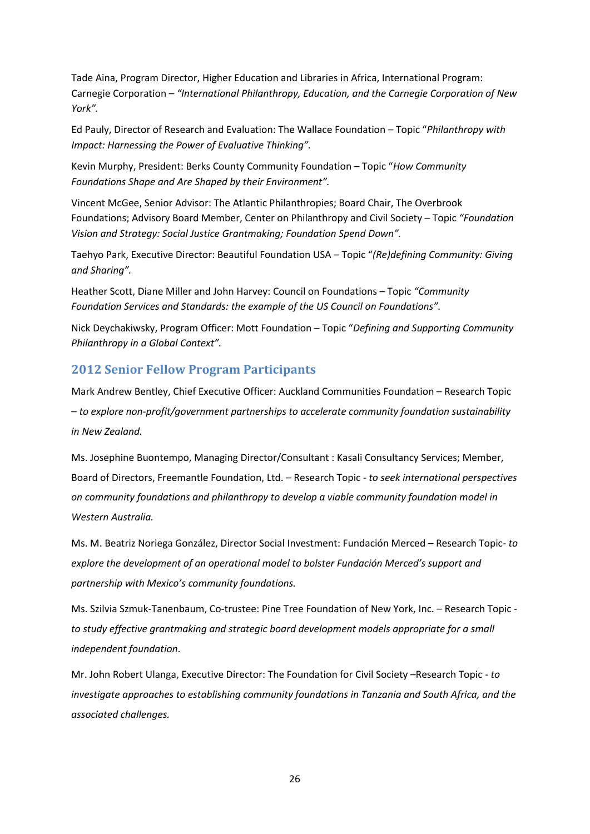Tade Aina, Program Director, Higher Education and Libraries in Africa, International Program: Carnegie Corporation – *"International Philanthropy, Education, and the Carnegie Corporation of New York".*

Ed Pauly, Director of Research and Evaluation: The Wallace Foundation – Topic "*Philanthropy with Impact: Harnessing the Power of Evaluative Thinking".*

Kevin Murphy, President: Berks County Community Foundation – Topic "*How Community Foundations Shape and Are Shaped by their Environment".*

Vincent McGee, Senior Advisor: The Atlantic Philanthropies; Board Chair, The Overbrook Foundations; Advisory Board Member, Center on Philanthropy and Civil Society – Topic *"Foundation Vision and Strategy: Social Justice Grantmaking; Foundation Spend Down".*

Taehyo Park, Executive Director: Beautiful Foundation USA – Topic "*(Re)defining Community: Giving and Sharing".*

Heather Scott, Diane Miller and John Harvey: Council on Foundations – Topic *"Community Foundation Services and Standards: the example of the US Council on Foundations".*

Nick Deychakiwsky, Program Officer: Mott Foundation – Topic "*Defining and Supporting Community Philanthropy in a Global Context".*

#### **2012 Senior Fellow Program Participants**

Mark Andrew Bentley, Chief Executive Officer: Auckland Communities Foundation – Research Topic – *to explore non-profit/government partnerships to accelerate community foundation sustainability in New Zealand.*

Ms. Josephine Buontempo, Managing Director/Consultant : Kasali Consultancy Services; Member, Board of Directors, Freemantle Foundation, Ltd. – Research Topic - *to seek international perspectives on community foundations and philanthropy to develop a viable community foundation model in Western Australia.* 

Ms. M. Beatriz Noriega González, Director Social Investment: Fundación Merced – Research Topic*- to explore the development of an operational model to bolster Fundación Merced's support and partnership with Mexico's community foundations.* 

Ms. Szilvia Szmuk-Tanenbaum, Co-trustee: Pine Tree Foundation of New York, Inc. – Research Topic *to study effective grantmaking and strategic board development models appropriate for a small independent foundation*.

Mr. John Robert Ulanga, Executive Director: The Foundation for Civil Society –Research Topic - *to investigate approaches to establishing community foundations in Tanzania and South Africa, and the associated challenges.*